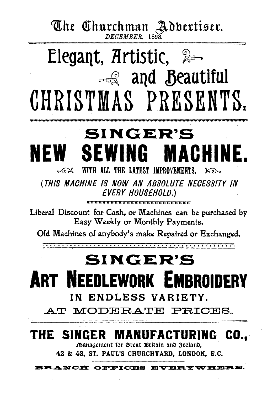# The Churchman Addertiser.

Elegant, Artistic, &

- and Beautiful CHRISTMAS PRESENTS. **SINGER'S NEW SEWING MAGHII** NE.

WITH ALL THE LATEST IMPROVEMENTS.  $\mathbb{Z}$  $k$ (THIS MACHINE IS NOW AN ABSOLUTE NECESSITY IN EVERY HOUSEHOLD.)

Liberal Discount for Cash, or Machines can be purchased by Easy Weekly or Monthly Payments.

Old Machines of anybody's make Repaired or Exchanged.

# SINGER'S **ART NEEDLEWORK EMBROIDERY** IN ENDLESS VARIETY.

AT MODERATE PRICES.

## THE SINGER MANUFACTURING CO..

Management for Great Britain and Freland.

42 & 43, ST. PAUL'S CHURCHYARD, LONDON, E.C.

**ANCE** OFFICE \*\*\*\*\*\*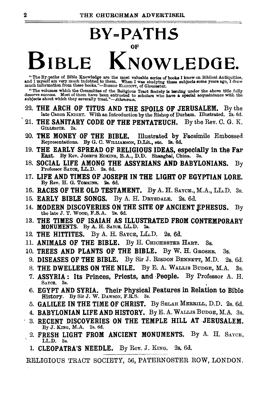**BY=PATHS** 

# OF **BIBLE KNOWLEDGE.**

" The By-paths of Bible Knowledge are the most valuable series of books I know on Biblical Antiquities, and I move in the most valuable said in the most paid in most in the most of the most paid in the most paid in the mos

"The volumes which the Committee of the Religious Tract Society is issuing under the above title fully deserve success. Most of them have been entrusted to scholars who have a special acquaintance with the subjects about which they severally treat."—*Athenceum*.

- 22. THE ARCH OF TITUS AND THE SPOILS OF JERUSALEM. By the late Canon KNIGHT. With an Introduction by the Bishop of Durham. Illustrated. 2s. 6d.
- 21. THE SANITARY CODE OF THE PENTATEUCH. By the Rev. C. G. K. GILLESPIE. 2s.
- 20. THE MONEY OF THE BIBLE. Illustrated by Facsimile Embossed Representations. By G. C. WILLIAMSON, D.Lit., etc. 2s, 6d.
- 19. THE EARLY SPREAD OF RELIGIOUS IDEAS, especially in the Far East. By Rev. JOSEPH EDKINS, B.A., D.D. Shanghai, China. 3s.
- 18. SOCIAL LIFE AMONG THE ASSYRIANS AND BABYLONIANS. By Professor SAYCE, LL.D. 2s. 6d.
- 17. LIFE AND TIMES OF JOSEPH IN THE LIGHT OF EGYPTIAN LORE. By Rev. H. G. TOMKINS.  $2e.6d.$
- 16. RACES OF THE OLD TESTAMENT. By A. H. SAYCE., M.A., LL.D. 3s.
- 15. EARLY BIBLE SONGS. By A. H. DRYSDALE. 2s. 6d.
- 14. MODERN DISCOVERIES ON THE SITE OF ANCIENT EPHESUS. By the late J. T. WooD, F.S.A. 2s. 6d.
- 13. THE TIMES OF ISAIAH AS ILLUSTRATED FROM CONTEMPORARY MONUMENTS. By A. H. SAYUE, LL.D. 2s.
- 12. THE HITTITES. By A. H. SAYeE, LL.D. 2s. 6d.
- 11. ANIMALS OF THE BIBLE. By H. CHICHESTER HART. 3s.
- 10. TREES AND PLANTS OF THE BIBLE. By W. H. GROSER. 3s.
- 9. DISEASES OF THE BIBLE. By Sir J. RISDON BENNETT, M.D. 2s. 6d.
- 8. THE DWELLERS ON THE NILE. By E. A. WALLis BuDGE, M.A. 3s.
- 7. ASSYRIA: Its Princes, Priests, and ·People. By Professor A. H. SAYCE. 3s.
- 6. EGYPT AND SYRIA. Their Physical Features in Relation to Bible History. By Sir J. W. DAWSON, F.R.S. 3s.
- *5.* GALILEE IN THE TIME OF CHRIST. By SELAH MERRILL, D.D. 2s. 6d.
- 4. BABYLONIAN LIFE AND HISTORY. By E. A. WALLIS BuDGE, M.A. 3s.
- 3. RECENT DISCOVERIES ON THE TEMPLE HILL AT JERUSALEM. By J. KING, M.A. 2s. 6d.
- 2. FRESH LIGHT FROM ANCIENT MONUMENTS. By A. H. SAYeE, LL.D. 3s.
- 1. CLEOPATRA'S NEEDLE. By Rev. J. KING. 2s. 6d.

RELIGIOUS TRACT SOCIETY, 56, PATERNOSTER ROW, LONDON.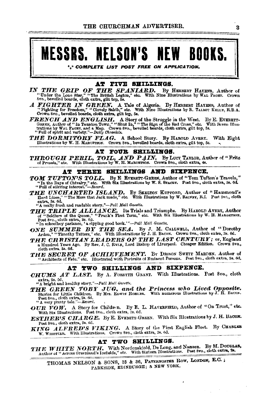## MESSRS. NELSON'S NEW BOOKS.

\* COMPLETE LIST POST FREE ON APPLICATION.

### AT FIVE SHILLINGS.

- IN THE GRIP OF THE SPANIARD. By HEBBERT HATENS, Author of "Under the Lone Star,"," The British Legion," etc. With Nine Illustrations by WAL PAGET. Crown 8vo., bevelled boards, cloth extra, gilt top, ba.
- A FIGHTER IN GREEN. A Tale of Algeria. By HERBERT HATENS, Author of "Fighting for Freedom," "Clevely Bahib," etc. With Nine Illustrations by R. TALBOT KELLY, R.B.A. Crown 8vo., bevelled boards, cloth extra, gilt top, 5s.
- **FRENCH AND ENGLISH.** A Story of the Struggle in the West. By E. EVERETT-GREEN, Author of "in Taunton Town," "Shut In," "The Sign of the Red Cross," etc. With Seven Illustrations by WAL Langer, and a Map. Crown 8vo., beve
- THE DORMITORY FLAG. A School Story. By HAROLD AVERY. With Eight Illustrations by W. H. MAROETSON. Crown 8va, bevelled boards, cloth extra, gilt top, 5s.

### AT FOUR SHILLINGS.

THROUGH PERIL, TOIL, AND PAIN. By LUOT TAYLOR, Author of "Fritz of Prussia," etc. With Illustrations by W. H. MARGETSON. Crown 8vo., electo extra, 4s.

#### AT THREE SHILLINGS AND SIXPENCE.

- TOM TUFTON'S TOLL. By E EVERETT-GEERN, Author of "Tom Tufton's Travels," "In the Days of Chivalry," etc. With Six Illustrations by W. S. Sracur. Post Svo., cloth extra, 3s. 6d. "Full of stirring interest."—Record.
- THE UNCHARTED ISLAND. By SEELTON KUPPORD, Author of "Hammond's Hard Lines," "The Mess that Jack made," etc. With Illustrations by W. RAINEY, R.I. Post 8vo., eloth extra, 3s. 6d.

"A really fresh and readable story."-Pall Mall Gazette.

THE TRIPLE ALLIANCE. Its Trials and Triumphs. By HAROLD AVERY, Author of "Soldiers of the Queen," "Frank's First Term," etc. With Six Illustrations by W. H. MARGETSON. Post 8vo., cloth extra, 3s. 6d.

"In schoolboy parlance, 'a ripping good book."-Pall Mall Gazette.

- ONE SUMMER BY THE SEA. By J. M. CALLWELL, Author of "Dorothy Arden," "Timothy Tatters," etc. With Illustrations by J. H. BACON. Crown 8vo., cloth extra, 3s. 6d.
- THE CHRISTIAN LEADERS OF THE LAST CENTURY; or, England a Hundred Years Ago. By Rev. J. C. RYLE, Lord Bishop of Liverpool. Cheaper Edition. Crown 8vo., cloth extra, 3s. 6d.
- **THE SECRET OF ACHIEVEMENT.** By DRISON SWETT MARDEN. Author of "Architects of Fate," etc. Illustrated with Portraits of Eminent Persons. Post 8vc., cloth extra, 3s. 6d.

#### AT TWO SHILLINGS AND SIXPENCE.

CHUMS AT LAST. By A. FORSYTH GRANT. With Illustrations. Post 8vo., cloth extra, 2s. 6d.

"A bright and healthy story,"-Pall Mall Gazette.

- THE GREEN TOBY JUG, and the Princess who Lived Opposite.<br>Stories for Little Children, By Mrs. EDWIS HOBLER. With numerous Illustrations by J. H. BACON. Post 8vo., cloth extra, 2s. 6d. "A very pretty tale."-Record.
- OUR VOW. A Story for Children. By E. L. HAVERFIELD, Author of "On Trust," etc. With Six Illustrations. Post 8vo., cloth extra, 2s. 6d.
- ESTHER'S CHARGE. By E. EVERETT-GREEN. With Six Illustrations by J. H. BACON. Post 8vo., cloth extra, 2s. 6d.
- KING ALFRED'S VIKING. A Story of the First English Fleet. By CHARLES W. WHISTLER. With Illustrations. Crown 8vo., cloth extra, 2s. 6d.

### AT TWO SHILLINGS.

THE WHITE NORTH. With Nordenskiold, De Long, and Nansen. By M. DOUGLAS, Author of "Across Greenland's Icefields," etc. With Sixteen Illustrations. Post Svo., cloth cxtra, 2s.

THOMAS NELSON & SONS, 35 & 36, PATERNOSTER ROW, LONDON, E.C.; PARKSIDE, EDINBURGH; & NEW YORK.

3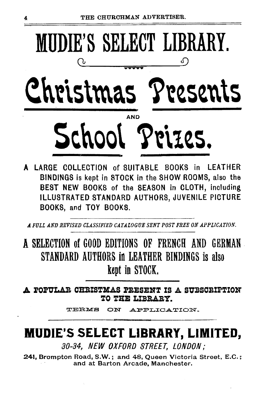

A LARGE COLLECTION of SUITARLE BOOKS in LEATHER BINDINGS is kept in STOCK in the SHOW ROOMS, also the BEST NEW BOOKS of the SEASON in CLOTH, including ILLUSTRATED STANDARD AUTHORS, JUVENILE PICTURE BOOKS, and TOY BOOKS.

A FULL AND REVISED CLASSIFIED CATALOGUE SENT POST FREE ON APPLICATION.

A SELECTION of GOOD EDITIONS OF FRENCH AND GERMAN STANDARD AUTHORS in LEATHER BINDINGS is also kept in STOCK.

A POPULAR CHRISTMAS PRESENT IS A SUBSCRIPTION TO THE LIBRARY.

> TERMS ON APPLICATION.

## **MUDIE'S SELECT LIBRARY, LIMITED,**

30-34, NEW OXFORD STREET, LONDON;

241, Brompton Road, S.W.; and 48, Queen Victoria Street, E.C.; and at Barton Arcade, Manchester.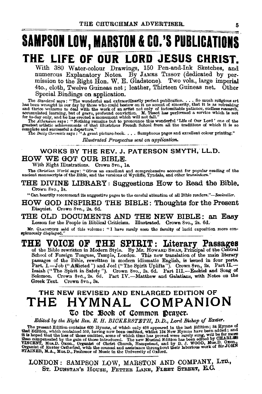# SAMPSON LOW, MARSTON & CO.'S PUBLICATIONS

## THE LIFE OF OUR LORD JESUS CHRIST.

With 380 Water-colour Drawings, 150 Pen-and-Ink Sketches, and numerous Explanatory Notes. By JAMES TISSOT (dedicated by permission to the Right Hon. W. E. Gladstone). Two vols., large imperial 4to., cloth, Twelve Guineas net; leather, Thirteen Guineas net.. Other Special Bindings on application.

The Standard says: "The wonderful and extraordinarily perfect publication.... So much religious art<br>has been wrought in our day by those who could bestow on it no accent of sincerity, that it is as refreshing<br>and thrice we accumulated learning, but of grave, profound conviction. M. Tissot has performed a service which is not for to-day only, and he has erected a mournant which will not for to-day only, and he has erected a mournant which wil

greatest artistic admevements of the must nuclear access to the complete and successful a departure."<br>complete and successful a departure."<br>The *Daily Chronicle* says: "A great picture-book.... Sumptuous pages and excellen

*Illustrated Prospectus sent* on *application.* 

### WORKS BY THE REV. J. PATERSON SMYTH; LL.D. HOW WE GOT OUR BIBLE.

With Eight Illustrations. Crown 8vo., ls.

The Christian World says: "Gives an excellent and eomprehensive account for popular reading of the ancient manuscripts of the Bible, and the versions of Wycliffe, Tyndale, and other translators."

THE DIVINE LIBRARY: Suggestions How to Read the Bible. Crown 8vo., Is.

"Can heartily recommend its suggestive pages to the careful attention of all Bible readers."--Bookseller.

HOW GOD INSPIRED THE BIBLE: Thoughts for the Present Disquiet. Crown 8vo., 2s. 6d.

THE OLD DOCUMENTS AND THE NEW BIBLE: an Easy Lesson for the People in Biblical Criticism. Illustrated. Crown 8vo., 2s. 6d,

Mr. GLADSTONE said of this volume: "I have rarely seen the faculty of lucid exposition more conspicuously displayed."

## THE VOICE OF THE SPIRIT: Literary Passages of the Bible rewritten in Modern Style. By Mr. HowARD SwAN, Principal of the Central

School of Foreign Tongues, Temple, London. This new translation of the main literary passages of the Bible, rewritten in modern idiomatic English, is issued in four parts.<br>Part, I.—Job ("Afflicted") and Joel ("The Spirit U Greek Text. Crown 8vo., 8s.

### THE NEW REVISED AND ENLARGED EDITION OF THE HYMNAL COMPANION To the Book of Common Drayer.

*Edited by the Right Rev. E. H. BICKERSTETH, D.D., Lord Bishop of Exeter.* 

*Edited by the Right Rev. E. H. BICKERSTETH, D.D., Lord Bishop of Exceler.*<br>The present Edition contains 600 Hymns, of which only 466 appeared in the last Edition; 84 Hymns of that Edition, which contained 550, having now

LONDON: SAMPSON LOW, MARSTON AND COMPANY, LTD., ST. DUNSTAN'S HOUSE, FETTER LANE, FLEET STREET, E.C.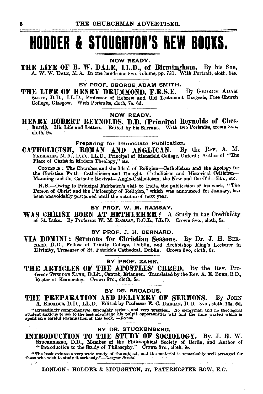# **HODDER & STOUGHTON'S NEW BOOKS.**

#### NOW READY.

THE LIFE OF R. W. DALE, LL.D., of Birmingham. By his Son, A. W. W. DALE, M.A. In one handsome 8vo. volnme, pp. 781. With Portrait, cloth, 14s.

### BY PROF. GEORGE ADAM SMITH.

THE LIFE OF HENRY DRUMMOND, F.R.S.E. By GEORGE ADAM SMITH, D.D., LL.D., Professor of Hebrew and Old Testament Exegesis, Free Church College, Glasgow. With Portraits, cloth, 7s. 6d.

#### NOW READY.

HENRY ROBERT REYNOLDS, D.D. (Principal Reynolds of Ches-hnnt). His Life and Letters. Edited by his SISTERS. With two Portraits, crown 8vo., cloth, 9s.

Preparing for Immediate Publication.<br> **ROMAN AND ANGLICAN.** By the Rev. A. M. CATHOLICISM, ROMAN AND ANGLICAN. By the Rev. A. M. FAIRBAIRN, M.A., D.D., LL.D., Principal of Mansfield College, Oxford; Author of "The Place of Christ in Modern Theology," etc.

CoNTENTS : The Churches and the Ideal of Religion-Catholicism and the Apology for the Christian Faith-Catholicism and 'l'hougbt-Catholicism and Historical Criticism-Manning and the Catholic Revival-Anglo-Catholicism, the New and the Old-Etc., etc.

N.B.-Owing to Principal Fairbairn's visit to India, the publication of his work, "The Person of Christ and the Philosophy of Religion," which was announced for January, has been unavoidably postponed until the autumn of next year.

### BY PROF. W. M. RAMSAY.

WAS CHRIST BORN AT BETHLEHEM? A Study in the Credibility of St. Luke. By Professor W. M. RAMSAY, D.C.L., LL.D. Crown 8vo., cloth, 5s.

### BY PROF. J. H. BERNARD.

VIA. DOMINI: Sermons for Christian Seasons. By Dr. J. H. BER-NARD, D.D., Fellow of Trinity College, Dublin, and Archbishop King's Lecturer in Divinity, Treasurer of St. Patrick's Cathedral, Dublin. Crown Svo, cloth, 6s.

### BY PROF. ZAHN.

THE ARTICLES OF THE APOSTLES' CREED. By the Rev. Professor THEODOR ZAHN, D.Lit., Cantab, Erlangen. Translated by the Rev. A. E. BURN. B.D., Rector of Kinnersley. Crown 8vo., cloth, 5s.

### BY DR. BROADUS.

THE PREPARATION AND DELIVERY OF SERMONS. By JOHN A. BROADUS, D.D., LL.D. Edited by Professor E. C. DARGAN, D.D. 8vo., cloth, 10s. 6d.

"Exceedingly comprehensive, throughly serious, and very practical. No clergyman and no theological<br>student anxious to use to the best advantage his pulpit opportunities will find the time wasted which is<br>spent on a careful tage his pulpit opportunities<br>ok."-Record.<br>C.D. C.T. LOVENTEER

### BY OR. STUCKENBERG.

INTRODUCTION TO THE STUDY OF SOCIOLOGY. By. J. H. W. STUCKENBERG, D.D., Member of the Philosophical Society of Berlin, and Author of "Introduction to the Study of Philosophy." Crown 8vo., cloth, 9s.

" The book evinces a very wide study of the subject, and the material is remarkably well arranged for those who wish to study it seriously."-Glasgow Herald.

LONDON: HODDER & STOUGHTON, 27, PATERNOSTER ROW, E.C.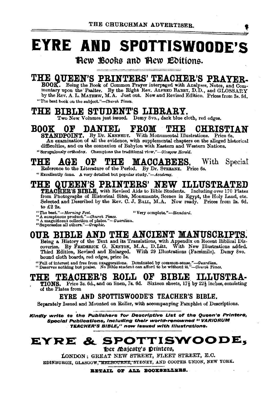# **EYRE AND SPOTTISWOODE'S**

Hew Books and Hew Editions.

## THE QUEEN'S PRINTERS' TEACHER'S PRAYER.

BOOK. Being the Book of Common Prayer interpaged with Analyses, Notes, and Commentary upon the Psalter. By the Right Rev. ALFRED BABRY, D.D., and GLOSSARY by the Rev. A. L. MAYHEW, M.A. Just out. New and Revised Edition. Prices from 3s. 6d. "The best book on the subject."-Church Times.

### THE BIBLE STUDENT'S LIBRARY.

Two New Volumes just issued. Demy 8vo., dark blue cloth, red edges.

#### **BOOK**  $0<sub>F</sub>$ DANIEL **FROM** TO: Oc CHRISTIAN

STANDPOINT. By Dr. KENNEDY. With Monumental Illustrations. Price 6s. An examination of all the evidence, with supplemental chapters on the alleged historical difficulties, and on the connexion of Babylon with Eastern and Western Nations. "Scrupulously orthodox. Champions the traditional view,"-Glasgow Herald.

#### TV.OX  $0<sub>h</sub>$ THE MACCAREES. With Special AGE

Reference to the Literature of the Period. By Dr. STREANE. Price 6s.

"Excellently done. A very detailed but popular study."-Academy.

## THE QUEEN'S PRINTERS' NEW ILLUSTRATED

TEACHER'S BIBLE, with Revised Aids to Bible Students. Including over 170 Plates from Photographs of Historical Sites, Monuments, Scenes in Egypt, the Holy Land, etc. Selected and Described by the Rev. C. J. BALL, M.A. Now ready. Prices from 2s. 6d. to £2 2s.

- 
- "The best."—Morning Post.<br>"A sumptuous product."—Church Times.<br>"A magnificent collection of plates."—Guardian. "Very complete."-Standard.
- 
- "Supersedes all others."-Graphic.

## OUR BIBLE AND THE ANCIENT MANUSCRIPTS.

Being a History of the Text and its Translations, with Appendix on Recent Biblical Discoveries. By FREDERICK G. KENYON, M.A., D.Litt. With New Illustrations added. Third Edition, Revised and Enlarged. With 29 Illustrations (Facsimile). Demy 8vo. bound cloth boards, red edges, price 5s.

"Full of interest and free from exaggerations. Dominated by common-sense,"-Guardian.<br>"Deserves nothing but praise. No Bible student can afford to be without it."-Church Times.

#### OF. **BIBLE** ILLUSTRA-THE **TEACHER'S ROLL**

TIONS. Price 3s. 6d., and on linen, 7s. 6d. Sixteen sheets, 171 by 221 inches, consisting of the Plates from

### **EYRE AND SPOTTISWOODE'S TEACHER'S BIBLE.**

Separately Issued and Mounted on Roller, with accompanying Pamphlet of Descriptions.

Kindly write to the Publishers for Descriptive List of the Queen's Printers, Special Publications, including their world-renowned " VARIORUM TEACHER'S BIBLE," now issued with illustrations.

## EYRE & SPOTTISWOODE,

Der Majesty's Printers,

LONDON: GREAT NEW STREET, FLEET STREET, E.C. EDINBURGH, GLASGOW, MELBOURNE, SYDNEY, AND COOPER UNION, NEW YORK.

RETAIL OF ALL BOOKSELLEES.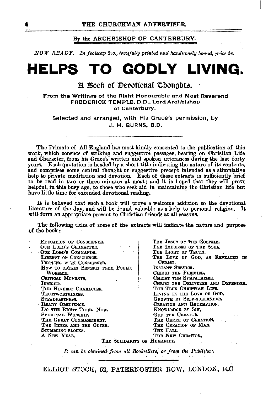### By the ARCHBISHOP OF CANTERBURY.

*NOW READY. In fool8cap 8vo., tastifully printed and handsomely bound, price 5s.* 

## **HELPS TO GODLY LIVING.**

### $B$  Book of Devotional Thoughts.

From the Writings of the Right Honourable and Most Reverend FREDERICK TEMPLE, D.O., Lord Archbishop of Canterbury.

Selected and arranged, with His Grace's permission, by J. H. BURNS, B.D.

The Primate of All England has most kindly consented to the publication of this work, which consists of striking and suggestive passages, bearing on Christian Life and Character, from his Grace's written and spoken utterances during the last forty years. Each quotation is headed by a short title indicating the nature of its contents, and comprises some central thought or ·suggestive precept intended as a stimulative help to private meditation and devotion. Each of these extracts is sufficiently brief to be read in two or three minutes at most; and it is hoped that they will prove helpful, in this busy age, to those who seek aid in maintaining the Christian life but have little time for extended devotional reading.

It is believed that such a book will prove a welcome addition to the devotional literature of the day, and will be found valuable as a help to personal religion. It will form an appropriate present to Christian friends at all seasons.

The following titles of some of the extracts will indicate the nature and purpose of the book:

EDUCATION OF CONSCIENCE. OUR LORD'S CHARACTER. -OUR LoRD'S CoMMANDS. LIBERTY OF CONSCIENCE. TRIFLING WITH CONSCIENCE. How TO OBTAIN BENEFIT FROM PUBLIC WORSHIP. CRITICAL MOMENTS, INSIGHT. THE HIGHEST CHARACTER. TRUSTWORTHINESS. STEADFASTNESS. READY OBEDIENCE. Do THE RIGHT THING Now. SPIRITUAL WORSHIP. THE GBRAT COMMANDMENT. THE INNER AND THE OUTER. STUMBLING-BLOOKS. A NEW YEAR.

THE JESUS OF THE GOSPELS. THE IMPULSES OF THE SOUL. THE LIGHT OF TRUTH. THE LOVE OF GOD, AS REVEALED IN CHRIST. INSTANT SERVICE. CHRIST THE PUBIFIER. CHRIST THE SYMPATHIZER. CHRIST THE DELIVERER AND DEFENDER. THE TRUE CHRISTIAN LIFE. LIVING IN THE LOVE OF GOD. GROWTH BY SELF-SURRENDER. CREATION AND REDEMPTION. KNOWLEDGE BY SIN. GoD THE CREATOR. THE ORDER OF CREATION. THE CREATION OF MAN. THE FALL. THE NEW CREATION.

THE SOLIDARITY OF HUMANITY.

It can be obtained from all Booksellers, or from the Publisher.

ELLIOT STOCK, 62, PATERNOSTER BOW, LONDON, E.C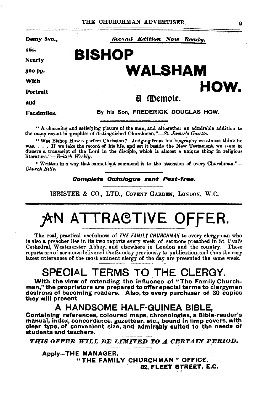9

| Demy 8vo           | Second Edition Now Ready.          |
|--------------------|------------------------------------|
| 168.               |                                    |
| <b>Nearly</b>      | <b>BISHOP</b>                      |
| 500 pp.            | <b>WALSHAM</b>                     |
| With               |                                    |
| Portrait           | HOW.                               |
| and                | A Memoir.                          |
| <b>Facsimiles.</b> | By his Son, FREDERICK DOUGLAS HOW, |
|                    |                                    |

"A charming and satisfying picture of the man, and altogether an admirable addition to the many recent biographies of distinguished Churchmen."-St. James's Gazette.

"Was Bishop How a perfect Christian? Judging from his biography we almost think he was. . . . If we take the record of his life, and set it beside the New Testament, we seem to discern a transcript of the Lord in the disciple, which is almost a unique thing in religious literature."-British Weekly.

"Written in a way that cannot but commend it to the attention of every Churchman."-Church Rells.

### Complete Catalogue sent Post-free.

ISBISTER & CO., LTD., COVENT GARDEN, LONDON, W.C.

# **AN ATTRACTIVE OFFER.**

The real, practical usefulness of THE FAMILY CHURCHMAN to every clergyman who is also a preacher lies in its two reports every week of sermons preached in St. Paul's Cathedral, Westminster Abbey, and elsewhere in London and the country. These reports are of sermons delivered the Sunday previously to publication, and thus the very latest utterances of the most eminent clergy of the day are presented the same week.

## SPECIAL TERMS TO THE CLERGY.

With the view of extending the influence of "The Family Churchman," the proprietors are prepared to offer special terms to clergymen desirous of becoming readers. Also, to every purchaser of 30 copies they will present

### A HANDSOME HALF-GUINEA BIBLE.

Containing references, coloured maps, chronologies, a Bible-reader's manual, index, concordance, gazetteer, etc., bound in limp covers, with clear type, of convenient size, and admirably suited to the needs of students and teachers.

THIS OFFER WILL BE LIMITED TO A CERTAIN PERIOD.

**Apply-THE MANAGER.** "THE FAMILY CHURCHMAN" OFFICE, 82. FLEET STREET, E.C.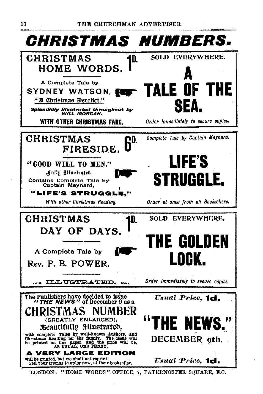

LONDON: "HOME WORDS" OFFICE, 7, PATERNOSTER SQUARE, E.C.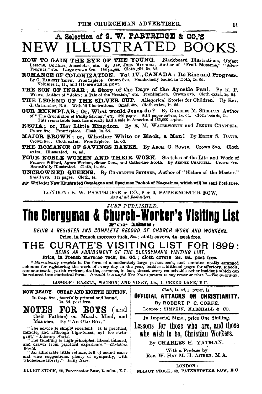# A Selection of S. W. PARTRIDGE & CO.'S NEW ILLUSTRATED BOOKS.<br>
HOW TO GAIN THE EXE OF THE YOUNG. Blackboard Illustrations, Object<br> **EXECUTE:** Anothers Anothers and the By Rev. John Mirchblu, Author of "Fruit Blossoms," "Silver

HOW TO GAIN THE EYE OF THE YOUNG. Lessons, Outlines, Anecdotes, etc. By Rev. John MirchEll, Author of "Fruit Blossoms," "Silver<br>Tongues," etc. Large crown 8vo. 168 pages. Cloth gilt, 2s. 6d.

ROMANCE OF COLONIZATION. Vol. IV., CANADA : Its Rise and Progress. By G. BARNETT SMITH. Frontispiece. Crown 8vo. Handsomely bound in Cloth, 2s. 6d. Volumes I., II., and III. are still in print.

THE SON OF INGAR: A Story of the Days of the Apostle Paul. By K. P. Woons, Author of "John : A Tale of the Messiah," etc. Frontispiece. Crown 8vo. Cloth extra, 2s. 6d.

THE LEGEND OF THE SILVER CUP. Allegorical Stories for Children. By Rev.<br>G. CattCRLEY, B.A. With 12 Illustrations. Small 4to. Cloth extra, 1s. 6d.

OUR EXEMPLAR; Or, What would Jesus do  $P$  By CHARLES M. SHELDON Author of " The Orucifixion of Philip Strong," etc. 920 pages. Still paper covers, 1s. 6d. Cloth boards, 2s.<br>This remarkable book has already had a sale in America of 185,000 copies.

REGIA; or, Her Little Kingdom. By E. M. WATERWOBTH and JENNIE CHAPPELL. Crown 8vo. Frontispiece. Cloth, ls. 6d.

MAJOR BROWN; or, Whether White or Black, a Man! By EDITH S. DAVIS.<br>Crown Svo. Cloth extra. Frontispiece. 1s. 6d.

THE ROMANCE OF SAVINGS BANKS. By AROH. G. BOWIE. Crown Svo. Cloth extra. Illustrated. 1s. 6d.<br>FOUR NOBLE WOMEN AND THEIR WORK. Sketches of the Life and Work of

FOUR NOBLE WOMEN AND THEIR WORK. Sketches of the Life and Work of Frances Willard, Agnes Weston, Sister Dora, and Catherine Booth. By JENNIE CHAPPELL, Crown 8vo. Beautifully Illustrated. Cloth, ls. 6d.

UNCROWNED QUEENS. By CHARLOTTE SKINNER, Author of "Sisters of the Master." Small 8vo. 112 pages. Cloth, 1s.

 $\mathbb{Z}$  Write for New Illustrated Catalogue and Specimen Packet of Magazines, which will be sent Post Free.

LONDON: S. W. PARTRIDGE & CO., 8 & 9, PATERNOSTER ROW,  $\frac{1}{4}$  and of all Booksellers.

*JUST PUBLISHED.* 

# **The Clerauman & Church-Worker's Vlsltlnu List For 1899:**

BEING A REGISTER AND COMPLETE RECORD OF CHURCH WORK AND WORKERS. Price, 1n French morocco tuck, Ss.; cloth covers, 48. post free.

### **THE CURATE'S VISITING LIST FOR 1899:**  BEING. AN ABRIDGMENT OF THE CLERGYMAN'S VISITING LIST.

Price, in French morocco tuck, 3s. 6d.; cloth covers 2s. 6d. post free.<br>"Mareticusly complete in the form of a moderately large pocket-book, and contains neatly arranged *"Marvellously complete* in the form of a moderately large pocket-book, and contains neatly arranged columns for registering the work of every day in the year, besides additional pages for offertory, schools, communicants, parish workers, deaths, sermons, in fact, almost every conceivable act or incident which can<br>be reduced into statistical form. It would be a useful New Year's present to any rector or vicar."—The Guardian

LONDON: HAZELL, WATSON, AND VINEY, LD., 1, CREED LANE, E.C.

### NOW READY. CHEAP AND EIGHTH EDITION. In fcap. 8vo., tastefuily printed and bound, Is. 6d. post free.

**NOTES FOR BOYS** (and their Fathers) on Morals, Mind, and Manners. By "An OLD Boy."

"The advice is simply excellent. It is practical, minute, and although high-toned, not too strin-<br>gent." - *Literary World.* 

"The teaching is high-principled, liberal-minded, and drawn from practical experience."-Christian World,

World. "An admirable little volume, full of sound sense and wise suggestions, plenty of sympathy, with wholesome liberty."-Daily News.

ELLIOT STOCK, 62, Paternoster Row, London, E.C.

Cloth, 18. *ea. : paper,* 18. **OFFICIAL ATIACKS ON CHRISTIANITY.**  By ROBERT P C. CORFE.

LONDON; SIMPKIN, MARSHALL & CO.

In Imperial 24mo., price One Shilling.

Lessons for those who are, and those who wish to be, Christian Workers.

By CHARLES H. YATMAN.

With a Preface by<br>Rev. W. HAY M. H. ATTEEN, M.A.

LONDON:

ELLIOT STOCK, 62, PATERNOSTER ROW, E.O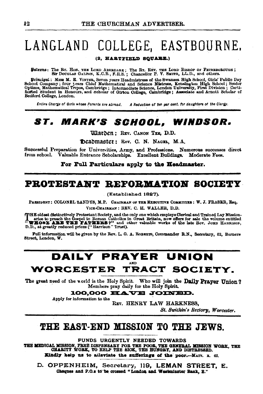# LANGLAND COLLEGE, EASTBOURNE.

### (2. HARTFIELD SQUARE.)

Batrons: The Rr. How. THE LORD ABERDARE; The Rr. REV. THE LORD BISHOP OF PETERBOROUGH; SIT DOUGLAS GALTON, K.C.B., F.R.S.; Chancellor P. V. SMITH, LL.D., and others.

Principal: Mise M. E. VINTER, Seven years Headmistress of the Swansea High School, Girls' Public Day School, Company; four years Chief Mathematical and Science Mistress, Kenshool Company; Optime, Mathematical Tripos, Cembr Bedford College, London.

A Reduction of ten per cent. for daughters of the Clergy. Entire Charge of Girls whose Parents are abroad.

## ST. MARK'S SCHOOL, WINDSOR.

**Warben: REV. CANON TEZ, D.D.** 

Deadmaster: Rev. C. N. NAGEL, M.A.

Successful Preparation for Universities, Army, and Professions. Numerous successes direct from school. Valuable Entrance Scholarships. Excellent Buildings. Moderate Fees.

For Full Particulars apply to the Headmaster.

### PROTESTANT REFORMATION SOCIETY

(Established 1827).

PRESIDENT: COLONEL SANDYS, M.P. CHAIRMAN OF THE EXECUTIVE COMMITTEE: W. J. FRASER, Esq. VICE-CHAIRMAN : REV. C. H. WALLER, D.D.

THE oldest distinctively Protestant Society, and the only one which employs Clerical and Trained Lay Mission-<br>aries to preach the Gospel to Roman Catholics in Great Britain, now offers for sale the volume entitled<br>"WHOSE A D.D., at greatly reduced prices ("Harrison" Trust).

Full information will be given by the Rev. L. G. A. ROBERTS, Commander R.N., Secretary, 62, Berners Street, London, W.

## **DAILY PRAYER UNION** WORCESTER TRACT SOCIETY.

The great need of the world is the Holy Spirit. Who will join the Daily Prayer Union? Members pray daily for the Holy Spirit.

100.000 HAVE JOINED.

Apply for information to the

REV. HENRY LAW HARKNESS.

St. Swithin's Rectory, Worcester.

### THE EAST-END MISSION TO THE JEWS.

FUNDS URGENTLY NEEDED TOWARDS

THE MEDICAL MISSION, FREE DISPENSARY FOR THE POOR, THE GENERAL MISSION WORK, THE CHARITY WORK, TO HELP THE SICK, THE HUNGRY, AND DISTRESSED. Kindly help us to alleviate the sufferings of the poor.--MATT. I. 42.

D. OPPENHEIM, Secretary, 119, LEMAN STREET. E. Cheques and P.O.s to be crossed "London and Westminster Bank, B."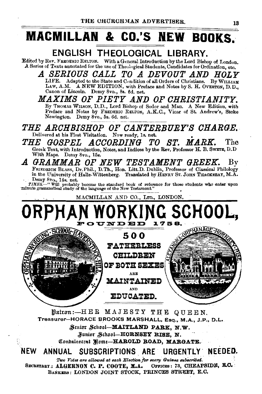## **MACMILLAN & CO.'S NEW BOOKS.·**

## **ENGLISH THEOLOGICAL LIBRARY.**

Edited by Rev. FREDERIC RELTON. With a General Introduction by the Lord Bishop of London. A Series of Texts annotated for the use of Theological Students, Candidates for Ordination, etc.

*.A SERIOUS C.ALL TO .A DEVOUT .AND HOLY*  LIFE. Adapted to the State and Condition of all Orders of Christians. By WILLIAM LAW, A.M. A NEW EDITION, with Preface and Notes by S. H. OVERTON, D.D., Canon of Lincoln. Demy 8vo., 8s. 6d. net.

*M.AXIMB OF PIETY .AND OF CHRISTIANITY.*  By THOMAS WILSON, D.D., Lord Bishop of Sodor and Man. A New Edition, with By HOMAS WILSON, D.D., LORD BIShop of Sodor and Man. A New Edition, with<br>Preface and Notes by FREDERIC RELTON, A.K.C., Vicar of St. Andrew's, Stoke<br>Newington. Demy 8vo., 5s. 6d. net.<br>A RCHRISHOP OF CANTERRIIRV'S CHARGE

*THE .ARCHBISHOP OF CANTERBURY'S CHARGE.*  Delivered at his First Visitation. Now ready, ls. net. •

*THE GOSPEL ACCORDING TO ST. MARK.* The Greek Text, with Introduction, Notes, and Indices by the Rev, Professor H. B. SWETE, D.D. With Maps. Demy 8vo., 15s.

**..A** *GRAMMAR OF NEW TESTAMENT GREEK.* By FRIEDRICH BLASS, Dr.Phil., D.Th., Hon. Litt.D. Dublin. Professor of Classical Philology in the University of Halle-Wittenberg. Translated by HENRY ST. JOHN THACKERAY, M.A. Demy 8vo., 14s. net.

*TIMES.*-" Will probably become the standard book of reference for those students who enter upon minute grammatical study of the language of the New Testament."

MACMILLAN AND CO., LTD., LONDON.





fhttro-n:-HE R MAJESTY THE QUEEN. Treasurer-HORACE BROOKS MARSHALL, Esq., M.A., J.P., O.L • Senior School-MAITLAND PARK, N.W. ~un.ior .\$cltool-HOBNBEY **RISE, N.** 

Conbaltscent Mome-HAROLD ROAD, MARGATE.

**NEW ANNUAL SUBSCRIPTIONS ARE URGENTLr NEEDED.** 

 $Two$  *Votes ars allowed at each Election for every Guinea subscribed.* SECRETARY: ALGERNON C. P. COOTE, M.A. OFFICES: 73, CHEAPSIDE, E.C. BANKERS: LONDON JOINT STOCK, PRINCES STREET, E.C.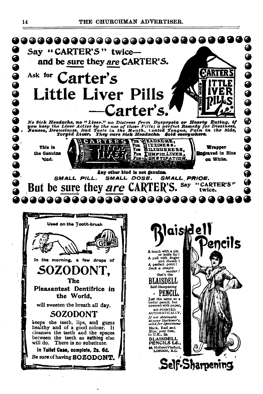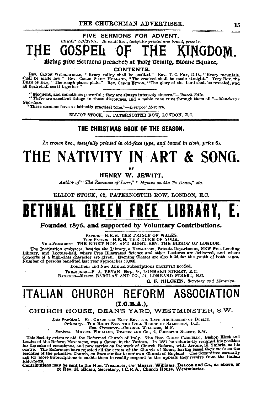### CHEAP EDITION. In small 8vo., tastefully printed and bound, price 1s. GOSPEIt NGDOM.

Being five Sermons preached at holy Trinity, Sloane Square.

CONTENTS.

Rev. CANOR WILBERFORCE, "Every valley shall be made low," Rev. Canon Scorr HotLake, "The crooked shall be made straight." Yery Rev. the shall be made low," Rev. Canon Scorr HotLake, "The crooked shall be made straight." Ve all flesh shall see it together."

"Eloquent, and sometimes powerful; they are always intensely sincere."--Church Bells.<br>"There are excellent things in these discourses, and a noble tone runs through them all."--Manckester Guardian.

"These sermons have a distinctly practical tone,"-Liverpool Mercury.

ELLIOT STOCK. 62. PATERNOSTER ROW. LONDON, E.C.

### THE CHRISTMAS BOOK OF THE SEASON.

In crown 8vo., tastefully printed in old-face type, and bound in cloth, price 6s.

# THE NATIVITY IN ART & SONG.

HENRY W. JEWITT.

Author of "The Romance of Love." "Humns on the Te Deum." etc.

ELLIOT STOCK. 62. PATERNOSTER ROW, LONDON, E.C.

# BETHNAL GREEN FREE LIBRAR

Founded 1876, and supported by Voluntary Contributions.

**PATRON-H.R.H. THE PRINCE OF WALES.<br>
VICE-PATRON-H.R.H. THE DUKE OF YORK.<br>
VICE-PRESIDENT-THE RIGHT HON. AND RIGHT REV, THE BISHOP OF LONDON.** 

The Institution embraces, heades the Library, a News-room. Patents Department, NEW Free Lending Library, and Lecture-hall, where Free Illustrated Science and other Lectures are delivered, and where Concerts of a high-class

Donations and New Annual Subscriptions URGENTLY needed.

TREASURER-F. A. BEVAN, ERQ., 54, LOMBARD STREET, E.C.<br>BANKERS-Messrs. BARCLAY AND CO., 54, LOMBARD STREET, E.C.

**G. F. HILCKEN**, Secretary and Librarian.

## ITALIAN CHURCH REFORM ASSOCIATION

 $(T.C.B.A.).$ 

CHURCH HOUSE, DEAN'S YARD, WESTMINSTER, S.W.

Late President.-HIS GRACE THE MOST REV. THE LATE ARCHBISHOP OF DUBLIN. 

This Society exists to aid the Reformation of the Rev. Courses the Rev. Courses the Rev. Courses In Leader of the Reform Movement, was a Cannon in the Vatican. In 1881 he voluntarily resigned his position for the sake of c Reformers.

Contributions may be sent to the Hon. Treasurer, c/o: Messrs. Williams, Deacon and Co., as above, or<br>to Rev. H. Hickin, Secretary, I.C.R.A., Church House, Westminster.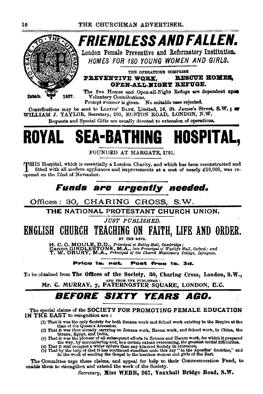

FRIENDLESS AND FALLEN.

London Female Preventive and Reformatory Institution. HOMES FOR 180 YOUNG WOMEN AND GIRLS.

THE OFERATIONS COMPRISE PREVENTIVE WORK. **RESCUE HOMES.** OPEN-ALL-NIGHT REFUGE.

The five Homes and Open-all-Night Refuge are dependent upon Voluntary Contributions.

Prompt succour is given. No suitable case rejected.

Contributions may be sent to LLOVDS' BANK, Limited, 16. St. James's Street, S.W.: or WILLIAM J. TAYLOR, Secretary, 200, EUSTON ROAD, LONDON, N.W.

Bequests and Special Gifts are usually devoted to extension of operations.

# ROYAL SEA-BATHING HOSPITAL,

FOUNDED AT MARGATE, 1791.

INHIS Hospital, which is essentially a London Charity, and which has been reconstructed and fitted with all modern appliances and improvements at a cost of nearly £10,000, was reopened on the 22nd of November.

## **Funds are urgently needed.**

Offices: 30, CHARING CROSS, S.W.

THE NATIONAL PROTESTANT CHURCH UNION.

JUST PURLISHED.

## ENGLISH CHURCH TEACHING ON FAITH, LIFE AND ORDER.

BY THE REVS.

H. C. G. MOULE, D.D., Frincipal of Ridley Hall, Cambridge;<br>Canon GIRDLESTONE, M.A., late Principal of Wycliffe Hall, Oxford; and<br>T. W. DRURY, M.A., Principal of the Church Missionary College, Islington.

#### Price 1s. net. Post free 1s. 3d.

To be obtained from The Offices of the Society, 30, Charing Cross, London, S.W., AND FROM THE PUBLISHER

Mr. C. MURRAY, 7, PATERNOSTER SOUARE, LONDON, E.C.

#### **BEFORE SIXTY YEARS** AGO.

The special claims of the SOCIETY FOR PROMOTING FEMALE EDUCATION IN THE EAST to recognition are:

- (1) That it was the only Society for both Zenana work and School work existing in the Empire at the time of the Queen's Accession,
- 
- time of the Queen's Accession,<br>
time of the accession,<br>
(2) That it was then already carrying on Zenana work, Harem work, and School work, in China, the<br>
(3) That it was the ploneer of all subsequent efforts in Zenana and
- 

The Committee urge these claims, and appeal for help to their Commemoration Fund, to enable them to strengthen and extend the work of the Society.

Secretary, Miss WEBB, 267, Vauxhall Bridge Road, S.W.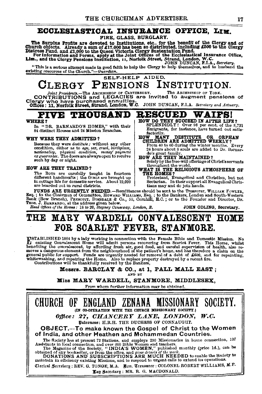### ECCLESIASTICAL INSURANCE OFFICE, LIM.

FIRE, GLASS, BURGLARY.

The Surplus Profits are devoted to Institutions, etc., for the benefit of the Clergy and of<br>Church objects. Already a sum of £17,000 has been so distributed, including £500 to the Clergy<br>Distress Fund, and £1,000 to the Qu

"This is a serious attempt made in good faith to help the Clergy to help themselves, and to husband the existing resources of the Church."-Guardian.

#### SELF-HELP AIDED. **CLERGY PENSIONS** INSTITUTION.

Joint Presidents.—The ABCHENHOP OF CANTERBURY. The ARCHENSEOP OF YORK.<br>CONTRIBUTIONS and LEGACIES are invited to augment pensions of 

#### PIV E THIOUSAND

### WHERE?

In "DR. BARNARDO'S HOMES," with their<br>84 distinct Houses and 24 Mission Branches.

#### **WHY WERE THEY ADMITTED?**

Because they were destitute; without any other condition, either as to age, sex, creed, birthplace, nationality, physical condition, money payment<br>or guarantee. The doors are always open to receive such by day or night.

#### HOW ARE THEY TRAINED?

The Boys are carefully taught in fourteen<br>different handicrafts; the GIRLS are brought up in cottage life for domestic service. About 19,000 are boarded out in rural districts.

FUNDS ARE URGENTLY NEEDED.-Remittances should be sent to the Treasurer, WILLIAM FOWLER, A COMMITTED OF CONTRACT A SALUTE MONTHLIGHT SHOW IS SERVER TO THE INTERNATE AND DISTURBANCE OF BAIL (BOW BEING IS ONLY THE SALUTE OF SALUTE AND SALUTE OF SALUTE THE SALUTE OF SALUTE THE ORDER OF THE SALUTE OF THE SALUTE OF

### MARY WARDELL CONVALESCENT HOME THE FOR SCARLET FEVER, STANMORE.

**INSTABLISHED 1884 by a lady working in connection with the Female Bible and Domestic Mission.** No existing Convalescent Home will admit persons recovering from Scarlet Fever. This Home, whilst benefiting the convalescent,

Messrs. BARCLAY & CO., at 1, PALL MALL EAST; AND BY

Miss MARY WARDELL, STANMORE, MIDDLESEX,

From whom further information may be obtained.



#### RESCUED. WAIFS!

- HOW DO THEY SUCCEED IN AFTER LIFE?<br>SPLENDIDLY! Over 08 per cent. of the 8,731<br>Emigrants, for instance, have turned out satisfactorily.
- OW MANY DESTITUTE OR ORPH<br>CHILDREN ARE ADMITTED WEEKLY? **HOW ORPHAN** Every
- From 40 to 60 during the winter months. Every 24 hours about 8 souls are added to Dr. Barnardo's great family.<br>HOW ARE THEY MAINTAINED?
- Solely by the free-will offerings of Christ's servants throughout the world.
- WHAT IS THE RELIGIOUS ATMOSPHERE OF

THE HOMES?<br>
THE HOMES?<br>
Protestant, Evangelical and Christian, but not<br>
Sectarian. In their support all Evangelical Christians<br>
tians may and do join hands.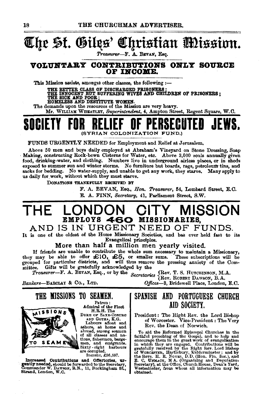# @t{Je ~f. Qitl~s' @!qristtan mtsstnn.

*Treasurer-F.* A. BEVAN, Esq.

### VOLUNTARY CONTRIBUTIONS ONLY SOURCE OF INCOME.

This Mission assists, amongst other classes, the following  $:$ ---

THE BETTER CLASS OF DISCHARGED PRISONERS ;<br>THE INNOCENT BUT SUFFERING WIVES AND CHILDREN OF PRISONERS ;<br>THE BICK AND POOR ;<br>HOMELESS AND DESTITUTE WOMEN.

The demands upon the resources of the Mission are very heavy.

Mr. WILLIAM WHBATLEY, *Superintendent,* 4, Ampton Street, Regent Square, W.O.

## SOCIETY FOR RELIEF OF PERSECUTED JEWS. (SYRIAN COLONIZATION FUND.)

FUNDS URGENTLY NEEDED for Employment and Relief at Jerusalem.

Above 50 men and boys daily employed at Abraham's Vineyard on Stone Dressing, Soap · Making, constructing Rock-hewn Cisterns for Water, etc. Above 3,000 souls annually given food, drinking-water, and clothing. Numbers live in underground airless places, or in sheds exposed to summer sun and winter storms. No furniture but boards, rags, petroleum tins, and sacks for bedding. No water-supply, and unable to get any work, they starve. Many apply to us daily for work, without which they must starve.

DONATIONS THANKFULLY RECEIVED BY

F. A. BEVAN, Esq., *Hon. Treasurer,* 54, Lombard Street, E.O. E. A. FINN, *Secretary,* 41, Parliament Street, S.W.

## THE LONDON CITY MISSION EMPLOYS 460 MISSIONARIES,

AND IS IN URGENT NEED OF FUNDS.

It is one of the oldest of the Home Missionary Societies, and baa ever held fast to its Evangelical principles.

More than half a million men yearly visited.

If friends are unable to contribute the whole sum necessary to maintain a Missionary, IT ITICHIUS AFT UNION CONSTRUCT TO OUR TREASURE TO A SUBSCRIPTIONS WILL BE SUPPORT OF THE SUPPORT OF THE SUPPORT OF THE SUPPORT OF THE SUPPORT OF THE GROUPED TO THE GROUPED TO THE GROUPED TO THE GROUPED TO THE GROUPED TO T mittee. Gifts will be gratefully acknowledged by the

*Treasurer-F.* A. BEVAN, Eaq., or by the *Secretaries* {Rev. T. S. HuTCHINSON, M.A. Rev. RoBERT DAWSON, B.A.

*Bankers-BARCLAY* & Co., LTD. *Oj}ices-3,* Bridewell Place, London, E.C.

THE MISSIONS TO SEAMEN.



Patron: Admiral of the Fleet H.R.B. The

DUKE OF SAXE-COBURG AND GoTHA, K.G.

Labours afloat and<br>ashore, at home and abroad, among seamen<br>of all classes and na•<br>tlons, fishermen, barge-<br>men, and emigrants. Sixty· eight harbours are occupied.

Jnoome, £36,597.

Increased Contributions and Offertories, urgentlyneeded, should be forwarded to the Secretary, Commander W. DAW80N, R.N., 11, Buckingham St., Strand, London, W.C.

### SPAHISH AHD PORTUGUESE CHURCH AID SOCIETY.

President: The Right Rev. the Lord Bi•hop of Worcester. Vice-President: The Very Rev. the Dean of Norwich.

To aid the Reformed Episcopal Churches in the faithful preaching of the Gospel, and to help and<br>encourage them in the great work of evangelization<br>in which they are engaged, Contributions will be<br>gratefully received by the Right Rev. Lord Bishop<br>of Worczerzu, Hartlebu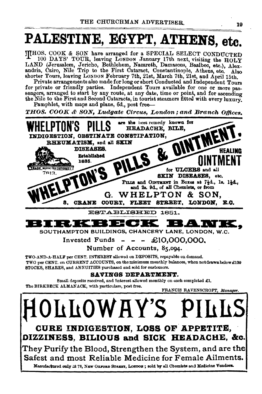# PALESTINE, EGYPT, ATHENS, etc.

JUHOS. COOK & SON have arranged for a SPECIAL SELECT CONDUCTED THE 100 DAYS' TOUR, leaving LONDON January 17th next, visiting the HOLY (Jerusalem, Jericho, Bethlehem, Nazareth, Damasous, Baalbec, etc.), Alexandria, Cairo, Nile Trip to the First Cataract, Constantinople, Athens, etc. A Private arrangements also made for long or short Conducted and Independent Tours for private or friendly parties. Independent Tours available for one or more passengers, arranged to start by any route, at any date, time or point, and for ascending the Nile to the First and Second Cataracts, in tourist steamers fitted with every luxury. Pamphlet, with maps and plans, 6d., post free-THOS. COOK & SON, Ludgate Circus, London; and Branch Offices. are the best remedy known for HEADACHE BILE. DIGESTION. OBSTINATE CONSTIPATION, **R. MIN** RHEUMATISM, and all SKIN DISEASES. HEALING **Established** 1835. MARK IRECISTERED) for ULCERS and all 7813. **SKIN DISEASES, etc.** PILLS and OINTMENT in Boxes at 74d., 1s. 14d., and 2s. 9d., of all Chemists, or from WHELPTON & SON. G. 8, CRANE COURT, FLEET STREET. LONDON. E.O. ESTABLISHED 1851. K E 9 E 9 9 SOUTHAMPTON BUILDINGS, CHANCERY LANE, LONDON, W.C. Invested Funds  $- - -$  £10.000.000. Number of Accounts, 85,094. TWO-AND-A-HALF per CENT. INTEREST allowed on DEPOSITS, repayable on demand. TWO per CENT, on CURRENT ACCOUNTS, on the minimum monthly balances, when not drawn below £100 STOCKS, SHARES, and ANNUITIES purchased and sold for customers. SAVINGS DEPARTMENT. Small deposits received, and Interest allowed monthly on each completed £1. The BIRKBECK ALMANACK, with particulars, post free. FRANCIS RAVENSCROFT, Manager. **OLLOWHY'S P**I CURE INDIGESTION, LOSS OF APPETITE, DIZZINESS, BILIOUS and SICK HEADACHE, &c.

They Purify the Blood, Strengthen the System, and are the Safest and most Reliable Medicine for Female Ailments. Manufactured only 2t 78, NEW OXFORD STREET, LONDON; sold by all Chemists and Medicine Vendors.